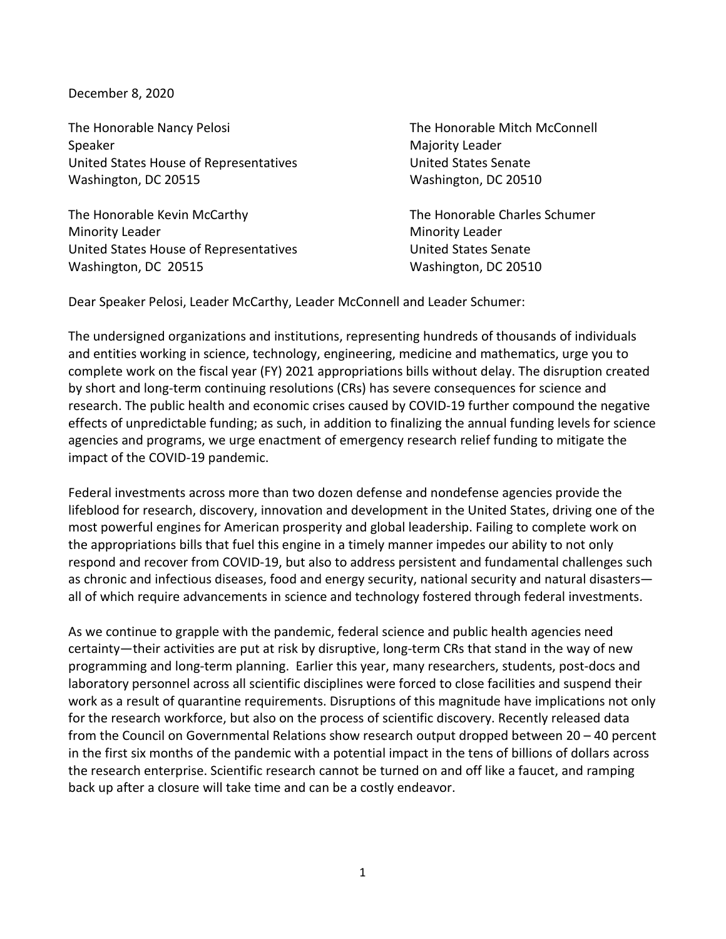December 8, 2020

The Honorable Nancy Pelosi The Honorable Mitch McConnell Speaker Majority Leader United States House of Representatives and Muslim United States Senate Washington, DC 20515 Washington, DC 20510

The Honorable Kevin McCarthy The Honorable Charles Schumer Minority Leader **Minority Leader** Minority Leader United States House of Representatives United States Senate Washington, DC 20515 Washington, DC 20510

Dear Speaker Pelosi, Leader McCarthy, Leader McConnell and Leader Schumer:

The undersigned organizations and institutions, representing hundreds of thousands of individuals and entities working in science, technology, engineering, medicine and mathematics, urge you to complete work on the fiscal year (FY) 2021 appropriations bills without delay. The disruption created by short and long-term continuing resolutions (CRs) has severe consequences for science and research. The public health and economic crises caused by COVID-19 further compound the negative effects of unpredictable funding; as such, in addition to finalizing the annual funding levels for science agencies and programs, we urge enactment of emergency research relief funding to mitigate the impact of the COVID-19 pandemic.

Federal investments across more than two dozen defense and nondefense agencies provide the lifeblood for research, discovery, innovation and development in the United States, driving one of the most powerful engines for American prosperity and global leadership. Failing to complete work on the appropriations bills that fuel this engine in a timely manner impedes our ability to not only respond and recover from COVID-19, but also to address persistent and fundamental challenges such as chronic and infectious diseases, food and energy security, national security and natural disasters all of which require advancements in science and technology fostered through federal investments.

As we continue to grapple with the pandemic, federal science and public health agencies need certainty—their activities are put at risk by disruptive, long-term CRs that stand in the way of new programming and long-term planning. Earlier this year, many researchers, students, post-docs and laboratory personnel across all scientific disciplines were forced to close facilities and suspend their work as a result of quarantine requirements. Disruptions of this magnitude have implications not only for the research workforce, but also on the process of scientific discovery. Recently released data from the Council on Governmental Relations show research output dropped between 20 – 40 percent in the first six months of the pandemic with a potential impact in the tens of billions of dollars across the research enterprise. Scientific research cannot be turned on and off like a faucet, and ramping back up after a closure will take time and can be a costly endeavor.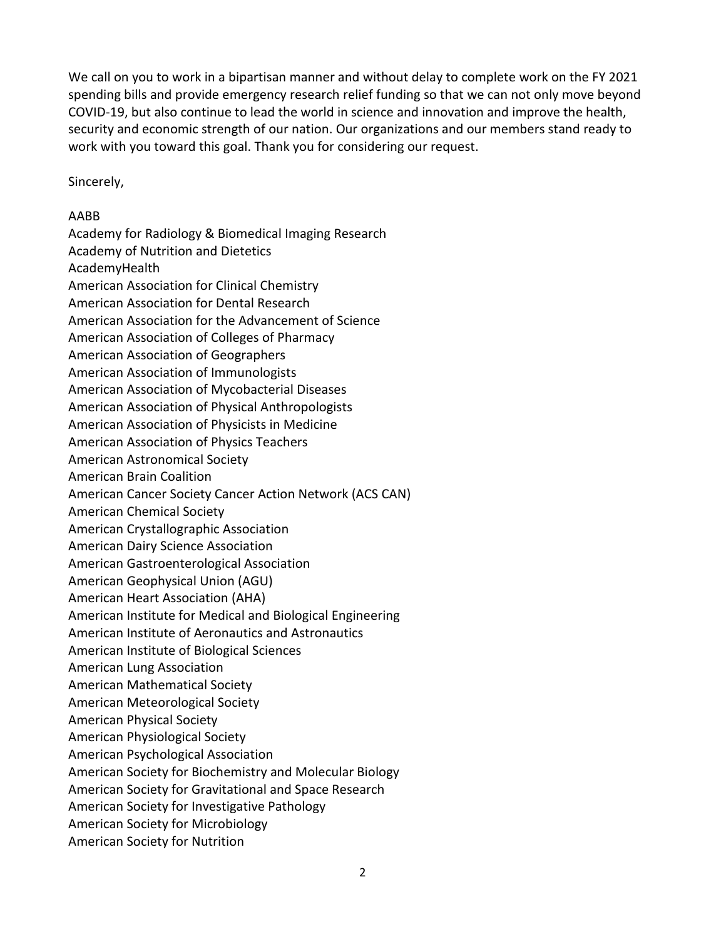We call on you to work in a bipartisan manner and without delay to complete work on the FY 2021 spending bills and provide emergency research relief funding so that we can not only move beyond COVID-19, but also continue to lead the world in science and innovation and improve the health, security and economic strength of our nation. Our organizations and our members stand ready to work with you toward this goal. Thank you for considering our request.

Sincerely,

## AABB

Academy for Radiology & Biomedical Imaging Research Academy of Nutrition and Dietetics AcademyHealth American Association for Clinical Chemistry American Association for Dental Research American Association for the Advancement of Science American Association of Colleges of Pharmacy American Association of Geographers American Association of Immunologists American Association of Mycobacterial Diseases American Association of Physical Anthropologists American Association of Physicists in Medicine American Association of Physics Teachers American Astronomical Society American Brain Coalition American Cancer Society Cancer Action Network (ACS CAN) American Chemical Society American Crystallographic Association American Dairy Science Association American Gastroenterological Association American Geophysical Union (AGU) American Heart Association (AHA) American Institute for Medical and Biological Engineering American Institute of Aeronautics and Astronautics American Institute of Biological Sciences American Lung Association American Mathematical Society American Meteorological Society American Physical Society American Physiological Society American Psychological Association American Society for Biochemistry and Molecular Biology American Society for Gravitational and Space Research American Society for Investigative Pathology American Society for Microbiology American Society for Nutrition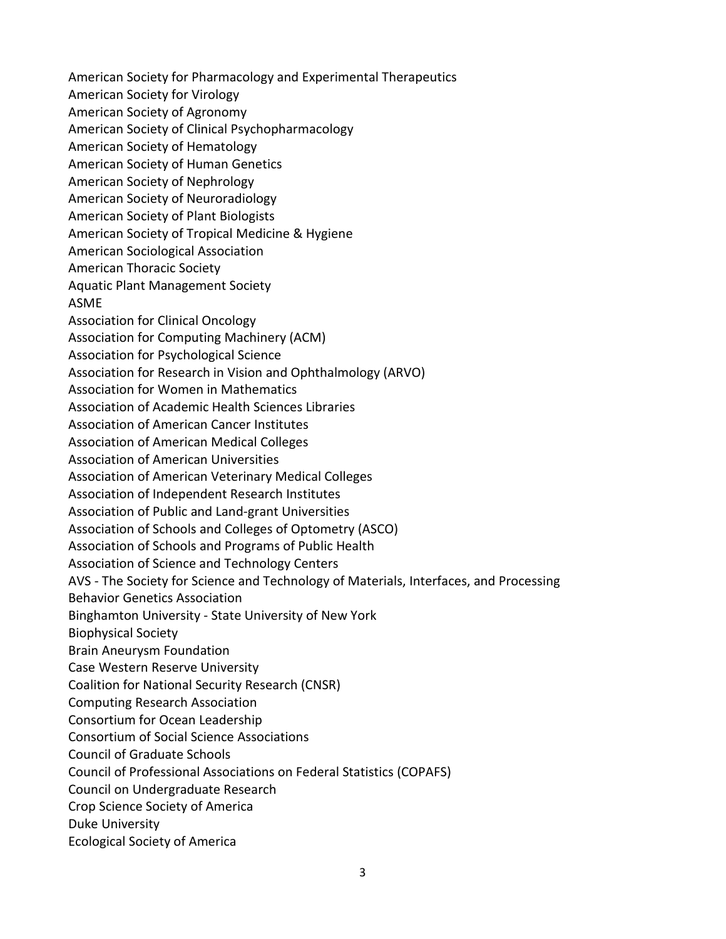American Society for Pharmacology and Experimental Therapeutics American Society for Virology American Society of Agronomy American Society of Clinical Psychopharmacology American Society of Hematology American Society of Human Genetics American Society of Nephrology American Society of Neuroradiology American Society of Plant Biologists American Society of Tropical Medicine & Hygiene American Sociological Association American Thoracic Society Aquatic Plant Management Society ASME Association for Clinical Oncology Association for Computing Machinery (ACM) Association for Psychological Science Association for Research in Vision and Ophthalmology (ARVO) Association for Women in Mathematics Association of Academic Health Sciences Libraries Association of American Cancer Institutes Association of American Medical Colleges Association of American Universities Association of American Veterinary Medical Colleges Association of Independent Research Institutes Association of Public and Land-grant Universities Association of Schools and Colleges of Optometry (ASCO) Association of Schools and Programs of Public Health Association of Science and Technology Centers AVS - The Society for Science and Technology of Materials, Interfaces, and Processing Behavior Genetics Association Binghamton University - State University of New York Biophysical Society Brain Aneurysm Foundation Case Western Reserve University Coalition for National Security Research (CNSR) Computing Research Association Consortium for Ocean Leadership Consortium of Social Science Associations Council of Graduate Schools Council of Professional Associations on Federal Statistics (COPAFS) Council on Undergraduate Research Crop Science Society of America Duke University Ecological Society of America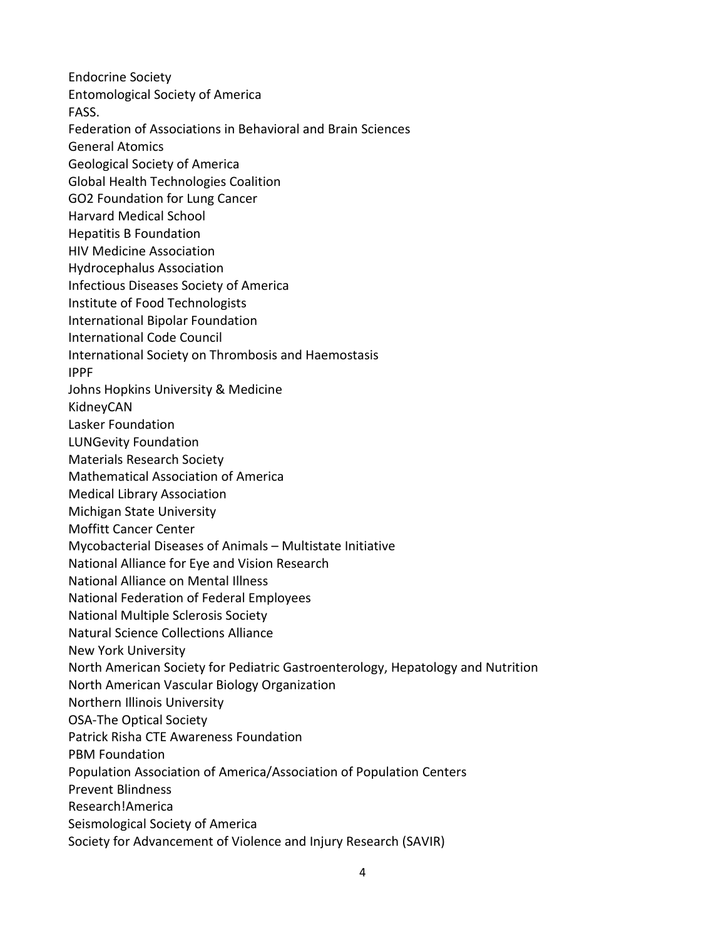Endocrine Society Entomological Society of America FASS. Federation of Associations in Behavioral and Brain Sciences General Atomics Geological Society of America Global Health Technologies Coalition GO2 Foundation for Lung Cancer Harvard Medical School Hepatitis B Foundation HIV Medicine Association Hydrocephalus Association Infectious Diseases Society of America Institute of Food Technologists International Bipolar Foundation International Code Council International Society on Thrombosis and Haemostasis IPPF Johns Hopkins University & Medicine KidneyCAN Lasker Foundation LUNGevity Foundation Materials Research Society Mathematical Association of America Medical Library Association Michigan State University Moffitt Cancer Center Mycobacterial Diseases of Animals – Multistate Initiative National Alliance for Eye and Vision Research National Alliance on Mental Illness National Federation of Federal Employees National Multiple Sclerosis Society Natural Science Collections Alliance New York University North American Society for Pediatric Gastroenterology, Hepatology and Nutrition North American Vascular Biology Organization Northern Illinois University OSA-The Optical Society Patrick Risha CTE Awareness Foundation PBM Foundation Population Association of America/Association of Population Centers Prevent Blindness Research!America Seismological Society of America Society for Advancement of Violence and Injury Research (SAVIR)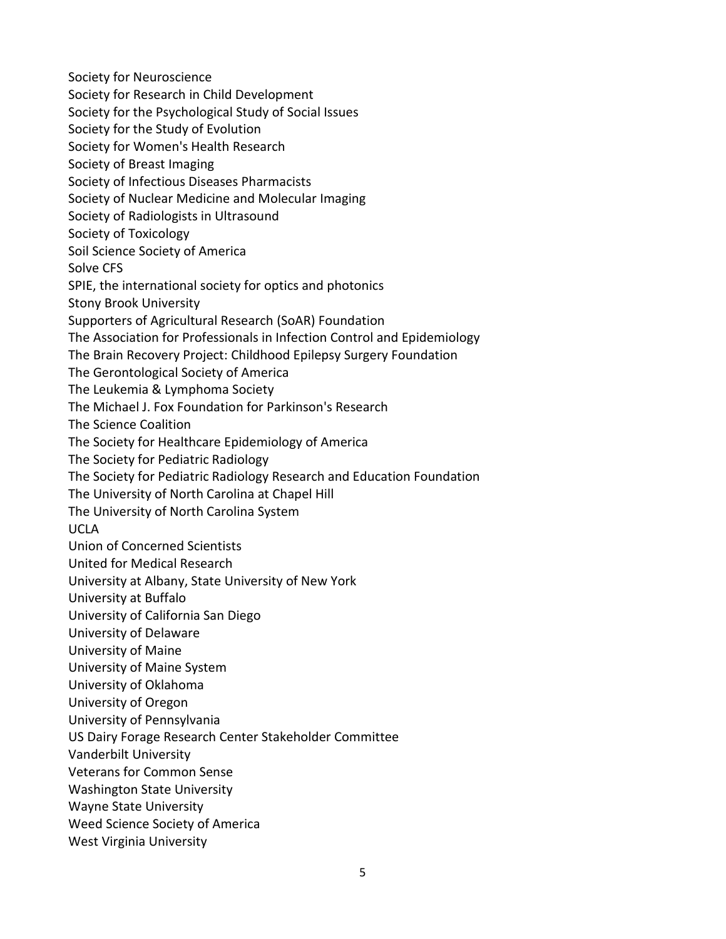Society for Neuroscience Society for Research in Child Development Society for the Psychological Study of Social Issues Society for the Study of Evolution Society for Women's Health Research Society of Breast Imaging Society of Infectious Diseases Pharmacists Society of Nuclear Medicine and Molecular Imaging Society of Radiologists in Ultrasound Society of Toxicology Soil Science Society of America Solve CFS SPIE, the international society for optics and photonics Stony Brook University Supporters of Agricultural Research (SoAR) Foundation The Association for Professionals in Infection Control and Epidemiology The Brain Recovery Project: Childhood Epilepsy Surgery Foundation The Gerontological Society of America The Leukemia & Lymphoma Society The Michael J. Fox Foundation for Parkinson's Research The Science Coalition The Society for Healthcare Epidemiology of America The Society for Pediatric Radiology The Society for Pediatric Radiology Research and Education Foundation The University of North Carolina at Chapel Hill The University of North Carolina System UCLA Union of Concerned Scientists United for Medical Research University at Albany, State University of New York University at Buffalo University of California San Diego University of Delaware University of Maine University of Maine System University of Oklahoma University of Oregon University of Pennsylvania US Dairy Forage Research Center Stakeholder Committee Vanderbilt University Veterans for Common Sense Washington State University Wayne State University Weed Science Society of America West Virginia University